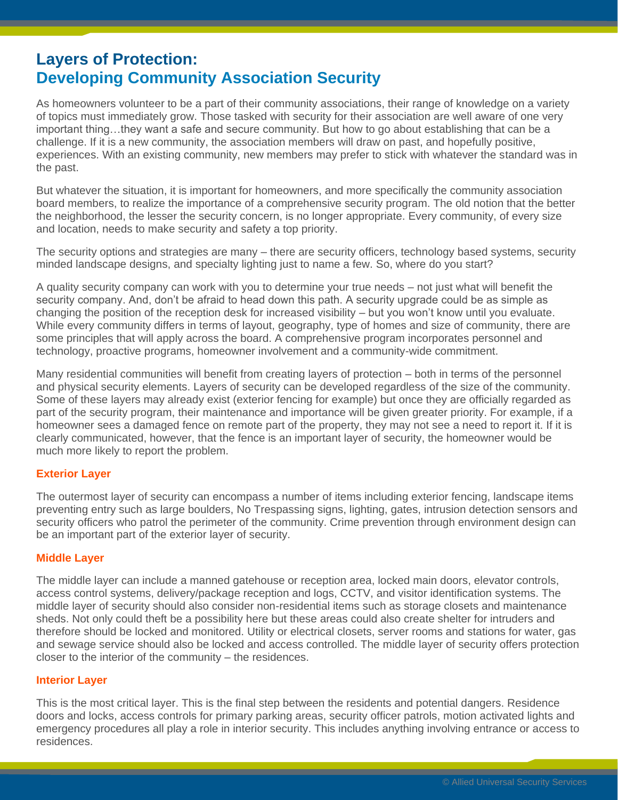## **Layers of Protection: Developing Community Association Security**

As homeowners volunteer to be a part of their community associations, their range of knowledge on a variety of topics must immediately grow. Those tasked with security for their association are well aware of one very important thing…they want a safe and secure community. But how to go about establishing that can be a challenge. If it is a new community, the association members will draw on past, and hopefully positive, experiences. With an existing community, new members may prefer to stick with whatever the standard was in the past.

But whatever the situation, it is important for homeowners, and more specifically the community association board members, to realize the importance of a comprehensive security program. The old notion that the better the neighborhood, the lesser the security concern, is no longer appropriate. Every community, of every size and location, needs to make security and safety a top priority.

The security options and strategies are many – there are security officers, technology based systems, security minded landscape designs, and specialty lighting just to name a few. So, where do you start?

A quality security company can work with you to determine your true needs – not just what will benefit the security company. And, don't be afraid to head down this path. A security upgrade could be as simple as changing the position of the reception desk for increased visibility – but you won't know until you evaluate. While every community differs in terms of layout, geography, type of homes and size of community, there are some principles that will apply across the board. A comprehensive program incorporates personnel and technology, proactive programs, homeowner involvement and a community-wide commitment.

Many residential communities will benefit from creating layers of protection – both in terms of the personnel and physical security elements. Layers of security can be developed regardless of the size of the community. Some of these layers may already exist (exterior fencing for example) but once they are officially regarded as part of the security program, their maintenance and importance will be given greater priority. For example, if a homeowner sees a damaged fence on remote part of the property, they may not see a need to report it. If it is clearly communicated, however, that the fence is an important layer of security, the homeowner would be much more likely to report the problem.

## **Exterior Layer**

The outermost layer of security can encompass a number of items including exterior fencing, landscape items preventing entry such as large boulders, No Trespassing signs, lighting, gates, intrusion detection sensors and security officers who patrol the perimeter of the community. Crime prevention through environment design can be an important part of the exterior layer of security.

## **Middle Layer**

The middle layer can include a manned gatehouse or reception area, locked main doors, elevator controls, access control systems, delivery/package reception and logs, CCTV, and visitor identification systems. The middle layer of security should also consider non-residential items such as storage closets and maintenance sheds. Not only could theft be a possibility here but these areas could also create shelter for intruders and therefore should be locked and monitored. Utility or electrical closets, server rooms and stations for water, gas and sewage service should also be locked and access controlled. The middle layer of security offers protection closer to the interior of the community – the residences.

## **Interior Layer**

This is the most critical layer. This is the final step between the residents and potential dangers. Residence doors and locks, access controls for primary parking areas, security officer patrols, motion activated lights and emergency procedures all play a role in interior security. This includes anything involving entrance or access to residences.